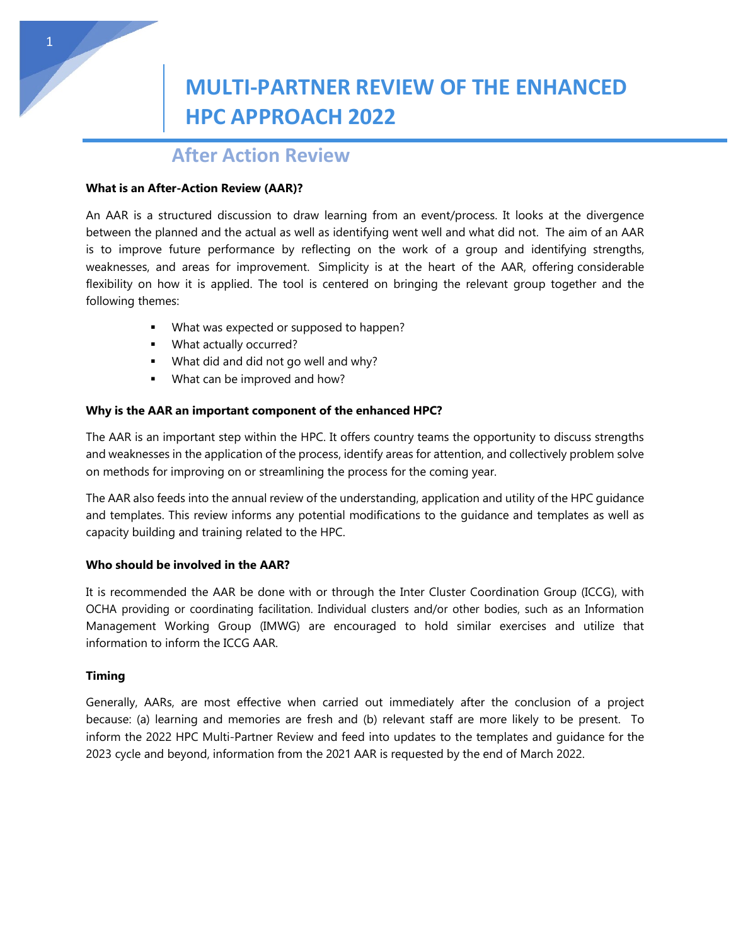# **MULTI-PARTNER REVIEW OF THE ENHANCED HPC APPROACH 2022**

## **After Action Review**

#### **What is an After-Action Review (AAR)?**

An AAR is a structured discussion to draw learning from an event/process. It looks at the divergence between the planned and the actual as well as identifying went well and what did not. The aim of an AAR is to improve future performance by reflecting on the work of a group and identifying strengths, weaknesses, and areas for improvement. Simplicity is at the heart of the AAR, offering considerable flexibility on how it is applied. The tool is centered on bringing the relevant group together and the following themes:

- What was expected or supposed to happen?
- **What actually occurred?**
- **What did and did not go well and why?**
- **What can be improved and how?**

### **Why is the AAR an important component of the enhanced HPC?**

The AAR is an important step within the HPC. It offers country teams the opportunity to discuss strengths and weaknesses in the application of the process, identify areas for attention, and collectively problem solve on methods for improving on or streamlining the process for the coming year.

The AAR also feeds into the annual review of the understanding, application and utility of the HPC guidance and templates. This review informs any potential modifications to the guidance and templates as well as capacity building and training related to the HPC.

#### **Who should be involved in the AAR?**

It is recommended the AAR be done with or through the Inter Cluster Coordination Group (ICCG), with OCHA providing or coordinating facilitation. Individual clusters and/or other bodies, such as an Information Management Working Group (IMWG) are encouraged to hold similar exercises and utilize that information to inform the ICCG AAR.

#### **Timing**

Generally, AARs, are most effective when carried out immediately after the conclusion of a project because: (a) learning and memories are fresh and (b) relevant staff are more likely to be present. To inform the 2022 HPC Multi-Partner Review and feed into updates to the templates and guidance for the 2023 cycle and beyond, information from the 2021 AAR is requested by the end of March 2022.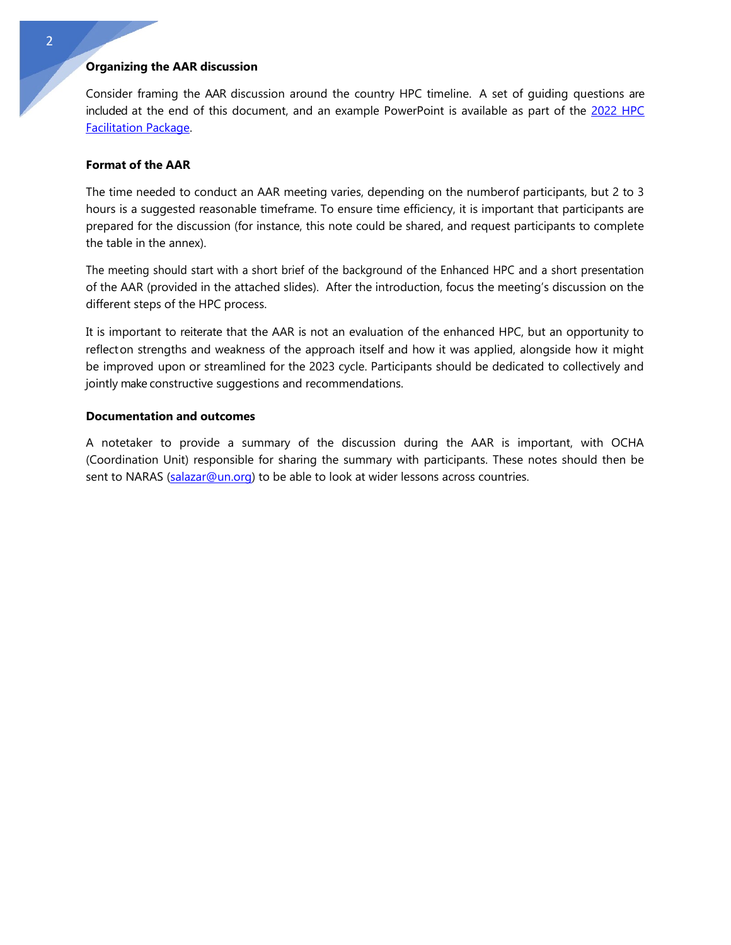### **Organizing the AAR discussion**

Consider framing the AAR discussion around the country HPC timeline. A set of guiding questions are included at the end of this document, and an example PowerPoint is available as part of the [2022](https://assessments.hpc.tools/content/hpc-2022-facilitation-package) HPC [Facilitation](https://assessments.hpc.tools/content/hpc-2022-facilitation-package) Package.

#### **Format of the AAR**

The time needed to conduct an AAR meeting varies, depending on the numberof participants, but 2 to 3 hours is a suggested reasonable timeframe. To ensure time efficiency, it is important that participants are prepared for the discussion (for instance, this note could be shared, and request participants to complete the table in the annex).

The meeting should start with a short brief of the background of the Enhanced HPC and a short presentation of the AAR (provided in the attached slides). After the introduction, focus the meeting's discussion on the different steps of the HPC process.

It is important to reiterate that the AAR is not an evaluation of the enhanced HPC, but an opportunity to reflecton strengths and weakness of the approach itself and how it was applied, alongside how it might be improved upon or streamlined for the 2023 cycle. Participants should be dedicated to collectively and jointly make constructive suggestions and recommendations.

#### **Documentation and outcomes**

A notetaker to provide a summary of the discussion during the AAR is important, with OCHA (Coordination Unit) responsible for sharing the summary with participants. These notes should then be sent to NARAS [\(salazar@un.org\)](mailto:salazar@un.org) to be able to look at wider lessons across countries.